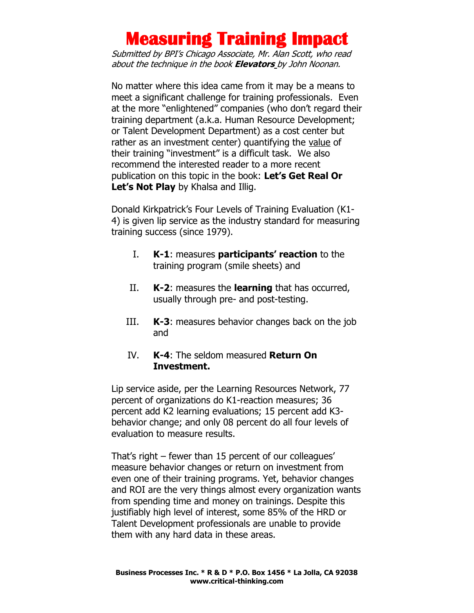Submitted by BPI's Chicago Associate, Mr. Alan Scott, who read about the technique in the book **Elevators** by John Noonan.

No matter where this idea came from it may be a means to meet a significant challenge for training professionals. Even at the more "enlightened" companies (who don't regard their training department (a.k.a. Human Resource Development; or Talent Development Department) as a cost center but rather as an investment center) quantifying the value of their training "investment" is a difficult task. We also recommend the interested reader to a more recent publication on this topic in the book: **Let's Get Real Or**  Let's **Not Play** by Khalsa and Illig.

Donald Kirkpatrick's Four Levels of Training Evaluation (K1- 4) is given lip service as the industry standard for measuring training success (since 1979).

- I. **K-1**: measures **participants' reaction** to the training program (smile sheets) and
- II. **K-2**: measures the **learning** that has occurred, usually through pre- and post-testing.
- III. **K-3**: measures behavior changes back on the job and
- IV. **K-4**: The seldom measured **Return On Investment.**

Lip service aside, per the Learning Resources Network, 77 percent of organizations do K1-reaction measures; 36 percent add K2 learning evaluations; 15 percent add K3 behavior change; and only 08 percent do all four levels of evaluation to measure results.

That's right – fewer than 15 percent of our colleagues' measure behavior changes or return on investment from even one of their training programs. Yet, behavior changes and ROI are the very things almost every organization wants from spending time and money on trainings. Despite this justifiably high level of interest, some 85% of the HRD or Talent Development professionals are unable to provide them with any hard data in these areas.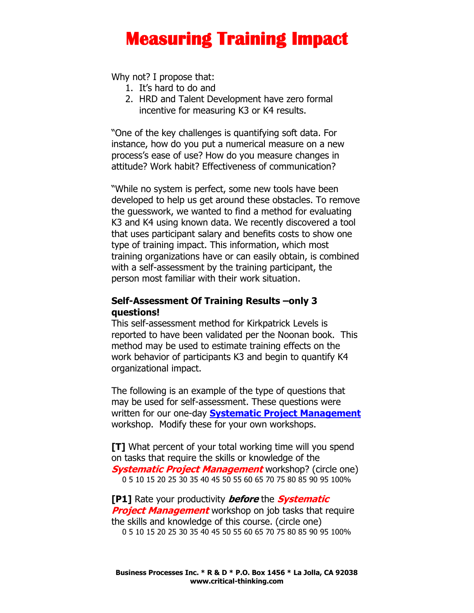Why not? I propose that:

- 1. It's hard to do and
- 2. HRD and Talent Development have zero formal incentive for measuring K3 or K4 results.

"One of the key challenges is quantifying soft data. For instance, how do you put a numerical measure on a new process's ease of use? How do you measure changes in attitude? Work habit? Effectiveness of communication?

"While no system is perfect, some new tools have been developed to help us get around these obstacles. To remove the guesswork, we wanted to find a method for evaluating K3 and K4 using known data. We recently discovered a tool that uses participant salary and benefits costs to show one type of training impact. This information, which most training organizations have or can easily obtain, is combined with a self-assessment by the training participant, the person most familiar with their work situation.

### **Self-Assessment Of Training Results –only 3 questions!**

This self-assessment method for Kirkpatrick Levels is reported to have been validated per the Noonan book. This method may be used to estimate training effects on the work behavior of participants K3 and begin to quantify K4 organizational impact.

The following is an example of the type of questions that may be used for self-assessment. These questions were written for our one-day **[Systematic Project Management](http://www.critical-thinking.com/workshops/systematic-project-management)** workshop. Modify these for your own workshops.

**[T]** What percent of your total working time will you spend on tasks that require the skills or knowledge of the **Systematic Project Management** workshop? (circle one) 0 5 10 15 20 25 30 35 40 45 50 55 60 65 70 75 80 85 90 95 100%

**[P1]** Rate your productivity **before** the **Systematic Project Management** workshop on job tasks that require the skills and knowledge of this course. (circle one) 0 5 10 15 20 25 30 35 40 45 50 55 60 65 70 75 80 85 90 95 100%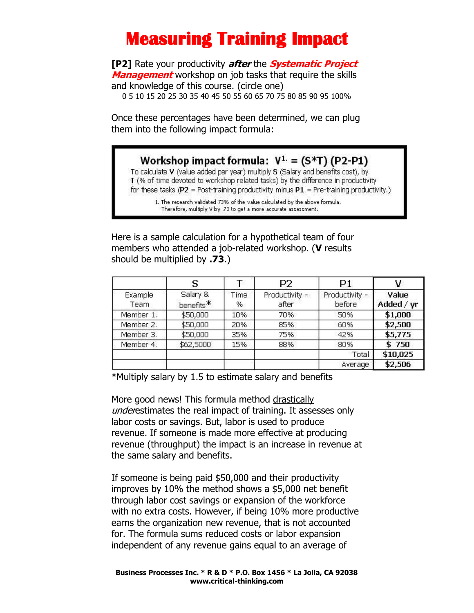**[P2]** Rate your productivity **after** the **Systematic Project Management** workshop on job tasks that require the skills and knowledge of this course. (circle one)

0 5 10 15 20 25 30 35 40 45 50 55 60 65 70 75 80 85 90 95 100%

Once these percentages have been determined, we can plug them into the following impact formula:

### Workshop impact formula:  $V^{1} = (S^*T) (P2-P1)$

To calculate V (value added per year) multiply S (Salary and benefits cost), by T (% of time devoted to workshop related tasks) by the difference in productivity for these tasks (P2 = Post-training productivity minus P1 = Pre-training productivity.)

1. The research validated 73% of the value calculated by the above formula. Therefore, multiply V by .73 to get a more accurate assessment.

Here is a sample calculation for a hypothetical team of four members who attended a job-related workshop. (**V** results should be multiplied by **.73**.)

|                 |                                   |           | P2                      | P1                       | ٧                   |
|-----------------|-----------------------------------|-----------|-------------------------|--------------------------|---------------------|
| Example<br>Team | Salary &<br>benefits <sup>*</sup> | Time<br>% | Productivity -<br>after | Productivity -<br>before | Value<br>Added / yr |
| Member 1.       | \$50,000                          | 10%       | 70%                     | 50%                      | \$1,000             |
| Member 2.       | \$50,000                          | 20%       | 85%                     | 60%                      | \$2,500             |
| Member 3.       | \$50,000                          | 35%       | 75%                     | 42%                      | \$5,775             |
| Member 4.       | \$62,5000                         | 15%       | 88%                     | 80%                      | \$750               |
|                 |                                   |           |                         | Total                    | \$10,025            |
|                 |                                   |           |                         | Average                  | \$2,506             |

\*Multiply salary by 1.5 to estimate salary and benefits

More good news! This formula method drastically underestimates the real impact of training. It assesses only labor costs or savings. But, labor is used to produce revenue. If someone is made more effective at producing revenue (throughput) the impact is an increase in revenue at the same salary and benefits.

If someone is being paid \$50,000 and their productivity improves by 10% the method shows a \$5,000 net benefit through labor cost savings or expansion of the workforce with no extra costs. However, if being 10% more productive earns the organization new revenue, that is not accounted for. The formula sums reduced costs or labor expansion independent of any revenue gains equal to an average of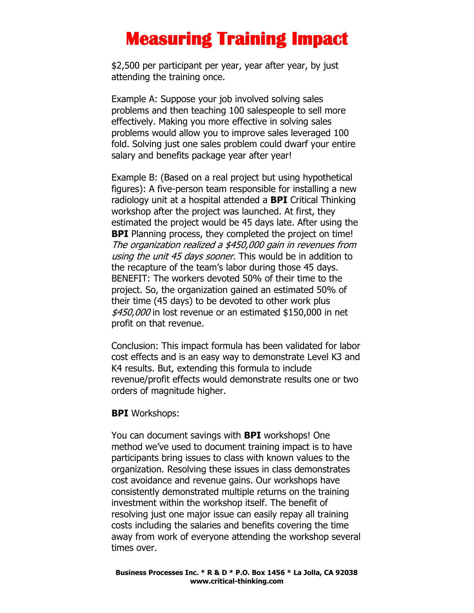\$2,500 per participant per year, year after year, by just attending the training once.

Example A: Suppose your job involved solving sales problems and then teaching 100 salespeople to sell more effectively. Making you more effective in solving sales problems would allow you to improve sales leveraged 100 fold. Solving just one sales problem could dwarf your entire salary and benefits package year after year!

Example B: (Based on a real project but using hypothetical figures): A five-person team responsible for installing a new radiology unit at a hospital attended a **BPI** Critical Thinking workshop after the project was launched. At first, they estimated the project would be 45 days late. After using the **BPI** Planning process, they completed the project on time! The organization realized a \$450,000 gain in revenues from using the unit 45 days sooner. This would be in addition to the recapture of the team's labor during those 45 days. BENEFIT: The workers devoted 50% of their time to the project. So, the organization gained an estimated 50% of their time (45 days) to be devoted to other work plus \$450,000 in lost revenue or an estimated \$150,000 in net profit on that revenue.

Conclusion: This impact formula has been validated for labor cost effects and is an easy way to demonstrate Level K3 and K4 results. But, extending this formula to include revenue/profit effects would demonstrate results one or two orders of magnitude higher.

### **BPI** Workshops:

You can document savings with **BPI** workshops! One method we've used to document training impact is to have participants bring issues to class with known values to the organization. Resolving these issues in class demonstrates cost avoidance and revenue gains. Our workshops have consistently demonstrated multiple returns on the training investment within the workshop itself. The benefit of resolving just one major issue can easily repay all training costs including the salaries and benefits covering the time away from work of everyone attending the workshop several times over.